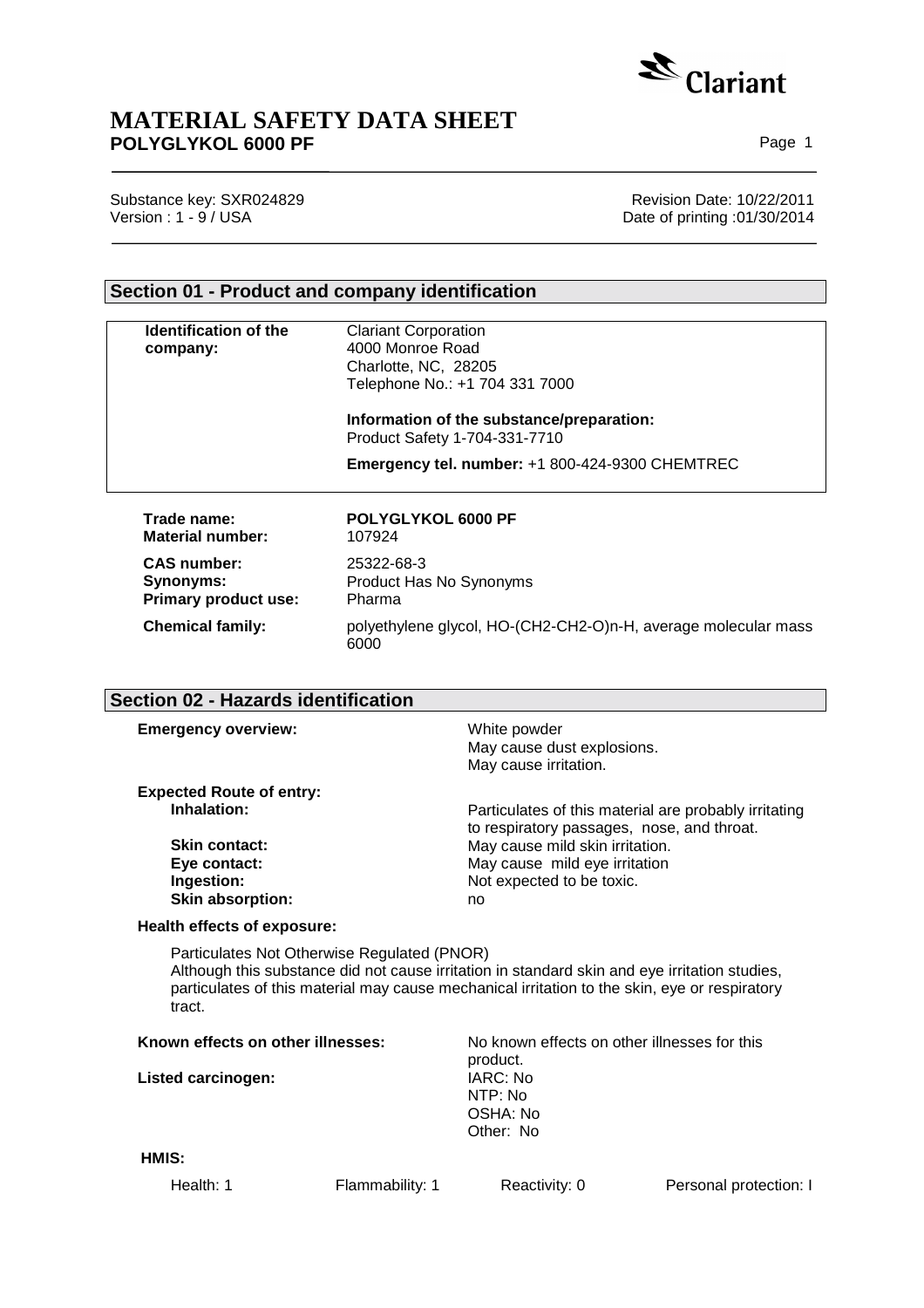

# **MATERIAL SAFETY DATA SHEET** POLYGLYKOL 6000 PF **POLYGLYKOL 6000 PF**

Substance key: SXR024829 **Revision Date: 10/22/2011** 

Version : 1 - 9 / USA Date of printing :01/30/2014

## **Section 01 - Product and company identification**

6000

| <b>Identification of the</b><br>company:                       | <b>Clariant Corporation</b><br>4000 Monroe Road<br>Charlotte, NC, 28205<br>Telephone No.: +1 704 331 7000 |
|----------------------------------------------------------------|-----------------------------------------------------------------------------------------------------------|
|                                                                | Information of the substance/preparation:<br>Product Safety 1-704-331-7710                                |
|                                                                | <b>Emergency tel. number: +1 800-424-9300 CHEMTREC</b>                                                    |
| Trade name:<br>Material number:                                | POLYGLYKOL 6000 PF<br>107924                                                                              |
| <b>CAS</b> number:<br>Synonyms:<br><b>Primary product use:</b> | 25322-68-3<br>Product Has No Synonyms<br>Pharma                                                           |

# **Section 02 - Hazards identification**

| <b>Emergency overview:</b>                     | White powder<br>May cause dust explosions.<br>May cause irritation.                                 |
|------------------------------------------------|-----------------------------------------------------------------------------------------------------|
| <b>Expected Route of entry:</b><br>Inhalation: | Particulates of this material are probably irritating<br>to respiratory passages, nose, and throat. |
| <b>Skin contact:</b>                           | May cause mild skin irritation.                                                                     |
| Eye contact:                                   | May cause mild eye irritation                                                                       |
| Ingestion:                                     | Not expected to be toxic.                                                                           |
| <b>Skin absorption:</b>                        | no                                                                                                  |

**Chemical family:** polyethylene glycol, HO-(CH2-CH2-O)n-H, average molecular mass

## **Health effects of exposure:**

Particulates Not Otherwise Regulated (PNOR) Although this substance did not cause irritation in standard skin and eye irritation studies, particulates of this material may cause mechanical irritation to the skin, eye or respiratory tract.

| Known effects on other illnesses:<br><b>Listed carcinogen:</b> |                 | No known effects on other illnesses for this<br>product. |                        |  |
|----------------------------------------------------------------|-----------------|----------------------------------------------------------|------------------------|--|
|                                                                |                 | IARC: No<br>NTP: No<br>OSHA: No<br>Other: No             |                        |  |
| HMIS:                                                          |                 |                                                          |                        |  |
| Health: 1                                                      | Flammability: 1 | Reactivity: 0                                            | Personal protection: I |  |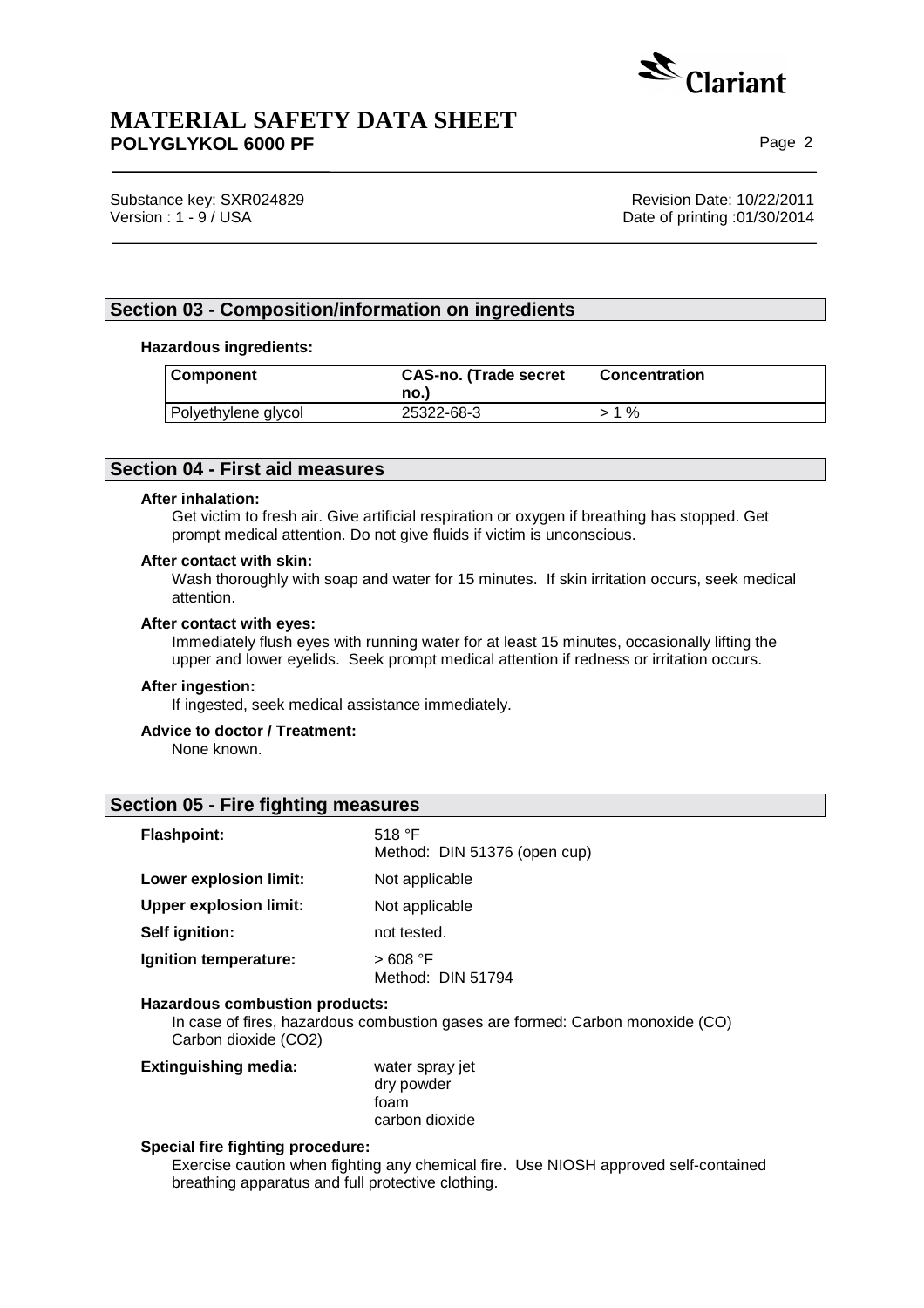

Substance key: SXR024829 **Revision Date: 10/22/2011** 

Version : 1 - 9 / USA Date of printing :01/30/2014

## **Section 03 - Composition/information on ingredients**

### **Hazardous ingredients:**

| <b>Component</b>    | <b>CAS-no. (Trade secret</b><br>no.) | <b>Concentration</b> |
|---------------------|--------------------------------------|----------------------|
| Polyethylene glycol | 25322-68-3                           | $>1\%$               |

## **Section 04 - First aid measures**

#### **After inhalation:**

Get victim to fresh air. Give artificial respiration or oxygen if breathing has stopped. Get prompt medical attention. Do not give fluids if victim is unconscious.

### **After contact with skin:**

Wash thoroughly with soap and water for 15 minutes. If skin irritation occurs, seek medical attention.

### **After contact with eyes:**

Immediately flush eyes with running water for at least 15 minutes, occasionally lifting the upper and lower eyelids. Seek prompt medical attention if redness or irritation occurs.

### **After ingestion:**

If ingested, seek medical assistance immediately.

## **Advice to doctor / Treatment:**

None known.

## **Section 05 - Fire fighting measures**

| <b>Flashpoint:</b>            | 518 $\degree$ F<br>Method: DIN 51376 (open cup) |
|-------------------------------|-------------------------------------------------|
| Lower explosion limit:        | Not applicable                                  |
| <b>Upper explosion limit:</b> | Not applicable                                  |
| Self ignition:                | not tested.                                     |
| Ignition temperature:         | > 608 °F<br>Method: DIN 51794                   |

## **Hazardous combustion products:**

In case of fires, hazardous combustion gases are formed: Carbon monoxide (CO) Carbon dioxide (CO2)

| <b>Extinguishing media:</b> | water spray jet |
|-----------------------------|-----------------|
|                             | dry powder      |
|                             | foam            |
|                             | carbon dioxide  |

### **Special fire fighting procedure:**

Exercise caution when fighting any chemical fire. Use NIOSH approved self-contained breathing apparatus and full protective clothing.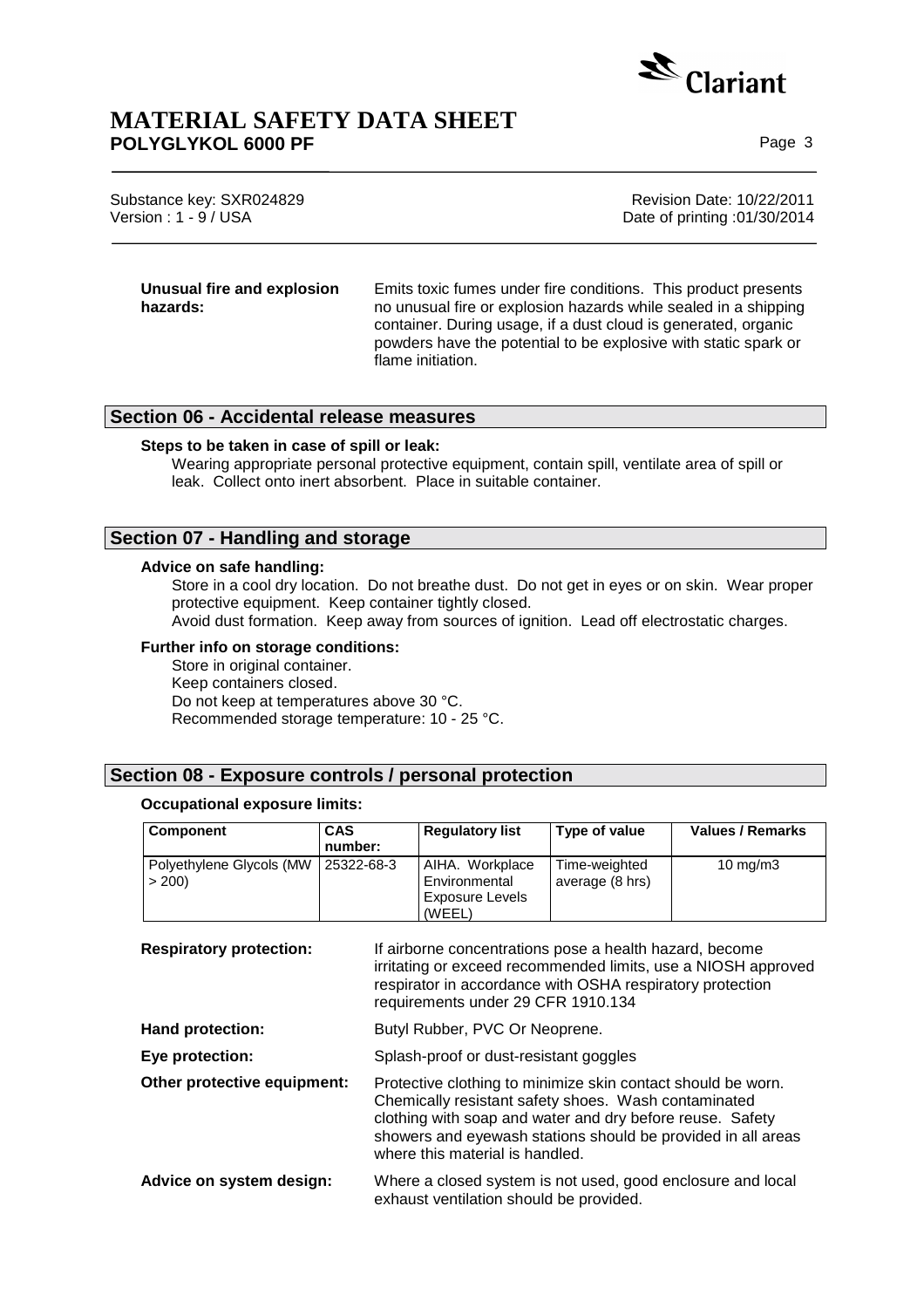

Substance key: SXR024829 **Revision Date: 10/22/2011** Version : 1 - 9 / USA Date of printing :01/30/2014

**Unusual fire and explosion hazards:**  Emits toxic fumes under fire conditions. This product presents no unusual fire or explosion hazards while sealed in a shipping container. During usage, if a dust cloud is generated, organic powders have the potential to be explosive with static spark or flame initiation.

## **Section 06 - Accidental release measures**

### **Steps to be taken in case of spill or leak:**

Wearing appropriate personal protective equipment, contain spill, ventilate area of spill or leak. Collect onto inert absorbent. Place in suitable container.

## **Section 07 - Handling and storage**

### **Advice on safe handling:**

Store in a cool dry location. Do not breathe dust. Do not get in eyes or on skin. Wear proper protective equipment. Keep container tightly closed.

Avoid dust formation. Keep away from sources of ignition. Lead off electrostatic charges.

#### **Further info on storage conditions:**

Store in original container. Keep containers closed. Do not keep at temperatures above 30 °C. Recommended storage temperature: 10 - 25 °C.

## **Section 08 - Exposure controls / personal protection**

#### **Occupational exposure limits:**

| <b>Component</b>                  | <b>CAS</b><br>number: | <b>Regulatory list</b>                                               | Type of value                    | <b>Values / Remarks</b> |
|-----------------------------------|-----------------------|----------------------------------------------------------------------|----------------------------------|-------------------------|
| Polyethylene Glycols (MW<br>> 200 | 25322-68-3            | AIHA. Workplace<br>Environmental<br><b>Exposure Levels</b><br>(WEEL) | Time-weighted<br>average (8 hrs) | $10 \text{ mg/m}$       |

**Respiratory protection:** If airborne concentrations pose a health hazard, become irritating or exceed recommended limits, use a NIOSH approved respirator in accordance with OSHA respiratory protection requirements under 29 CFR 1910.134

**Hand protection: Butyl Rubber, PVC Or Neoprene.** 

**Eye protection:** Splash-proof or dust-resistant goggles

- **Other protective equipment:** Protective clothing to minimize skin contact should be worn. Chemically resistant safety shoes. Wash contaminated clothing with soap and water and dry before reuse. Safety showers and eyewash stations should be provided in all areas where this material is handled.
- **Advice on system design:** Where a closed system is not used, good enclosure and local exhaust ventilation should be provided.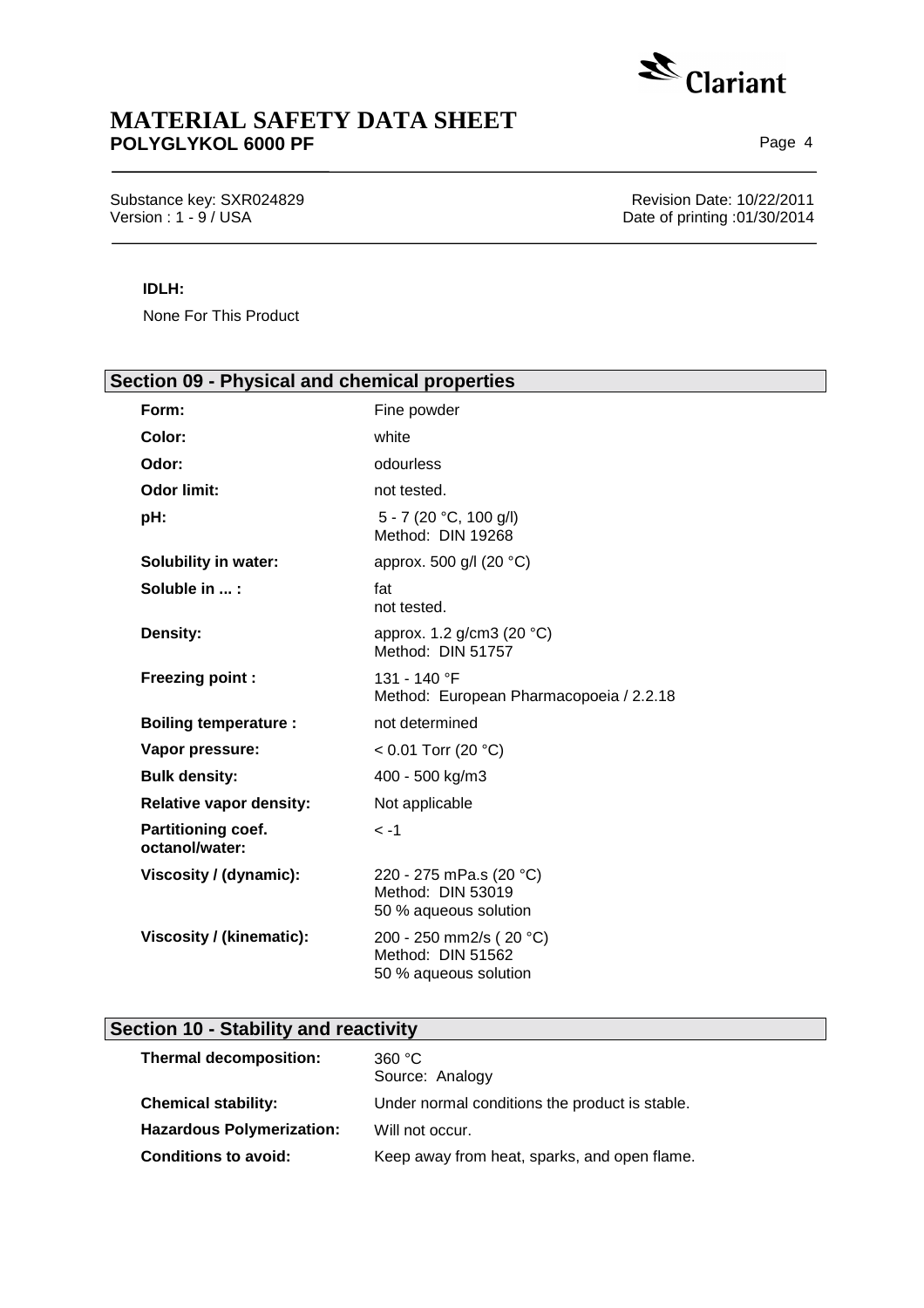

Substance key: SXR024829 Revision Date: 10/22/2011 Version : 1 - 9 / USA Date of printing :01/30/2014

## **IDLH:**

None For This Product

| Section 09 - Physical and chemical properties                         |  |  |
|-----------------------------------------------------------------------|--|--|
| Fine powder                                                           |  |  |
| white                                                                 |  |  |
| odourless                                                             |  |  |
| not tested.                                                           |  |  |
| 5 - 7 (20 °C, 100 g/l)<br>Method: DIN 19268                           |  |  |
| approx. 500 g/l (20 °C)                                               |  |  |
| fat<br>not tested.                                                    |  |  |
| approx. 1.2 g/cm3 (20 °C)<br>Method: DIN 51757                        |  |  |
| 131 - 140 °F<br>Method: European Pharmacopoeia / 2.2.18               |  |  |
| not determined                                                        |  |  |
| < 0.01 Torr (20 °C)                                                   |  |  |
| 400 - 500 kg/m3                                                       |  |  |
| Not applicable                                                        |  |  |
| $\leq -1$                                                             |  |  |
| 220 - 275 mPa.s (20 °C)<br>Method: DIN 53019<br>50 % aqueous solution |  |  |
| 200 - 250 mm2/s (20 °C)<br>Method: DIN 51562<br>50 % aqueous solution |  |  |
|                                                                       |  |  |

# **Section 10 - Stability and reactivity**

| <b>Thermal decomposition:</b>    | 360 °C<br>Source: Analogy                      |
|----------------------------------|------------------------------------------------|
| <b>Chemical stability:</b>       | Under normal conditions the product is stable. |
| <b>Hazardous Polymerization:</b> | Will not occur.                                |
| <b>Conditions to avoid:</b>      | Keep away from heat, sparks, and open flame.   |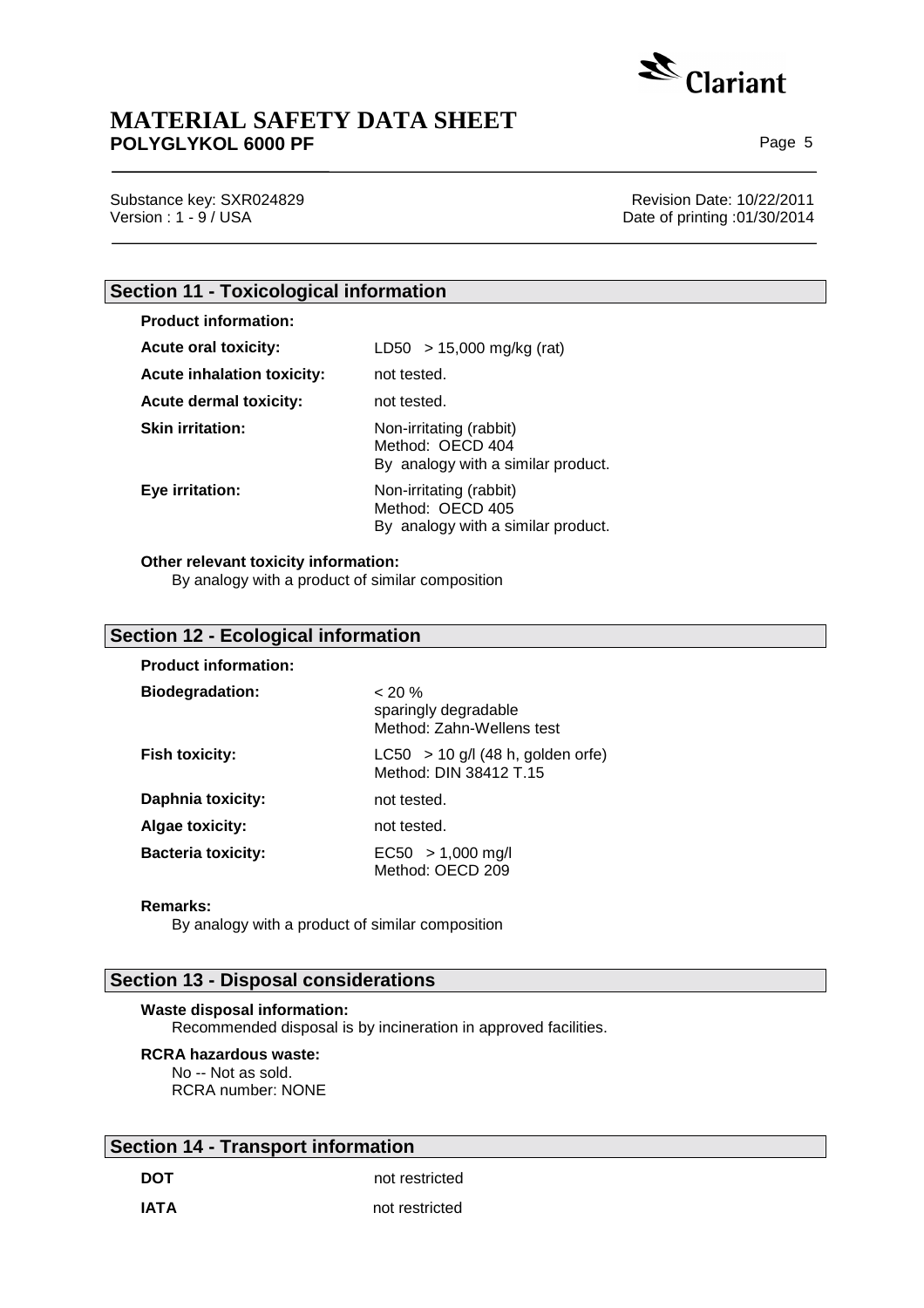

Substance key: SXR024829 **Revision Date: 10/22/2011** 

Version : 1 - 9 / USA Date of printing :01/30/2014

# **Section 11 - Toxicological information**

| <b>Product information:</b>       |                                                                                   |
|-----------------------------------|-----------------------------------------------------------------------------------|
| <b>Acute oral toxicity:</b>       | $LD50 > 15,000$ mg/kg (rat)                                                       |
| <b>Acute inhalation toxicity:</b> | not tested.                                                                       |
| Acute dermal toxicity:            | not tested.                                                                       |
| <b>Skin irritation:</b>           | Non-irritating (rabbit)<br>Method: OECD 404<br>By analogy with a similar product. |
| Eye irritation:                   | Non-irritating (rabbit)<br>Method: OECD 405<br>By analogy with a similar product. |

### **Other relevant toxicity information:**

By analogy with a product of similar composition

## **Section 12 - Ecological information**

| <b>Product information:</b> |                                                                |
|-----------------------------|----------------------------------------------------------------|
| <b>Biodegradation:</b>      | $< 20 \%$<br>sparingly degradable<br>Method: Zahn-Wellens test |
| <b>Fish toxicity:</b>       | $LC50 > 10$ g/l (48 h, golden orfe)<br>Method: DIN 38412 T.15  |
| Daphnia toxicity:           | not tested.                                                    |
| <b>Algae toxicity:</b>      | not tested.                                                    |
| <b>Bacteria toxicity:</b>   | $EC50 > 1,000$ mg/l<br>Method: OECD 209                        |

#### **Remarks:**

By analogy with a product of similar composition

## **Section 13 - Disposal considerations**

## **Waste disposal information:**

Recommended disposal is by incineration in approved facilities.

## **RCRA hazardous waste:**

No -- Not as sold. RCRA number: NONE

# **Section 14 - Transport information**

**DOT** not restricted

**IATA not restricted**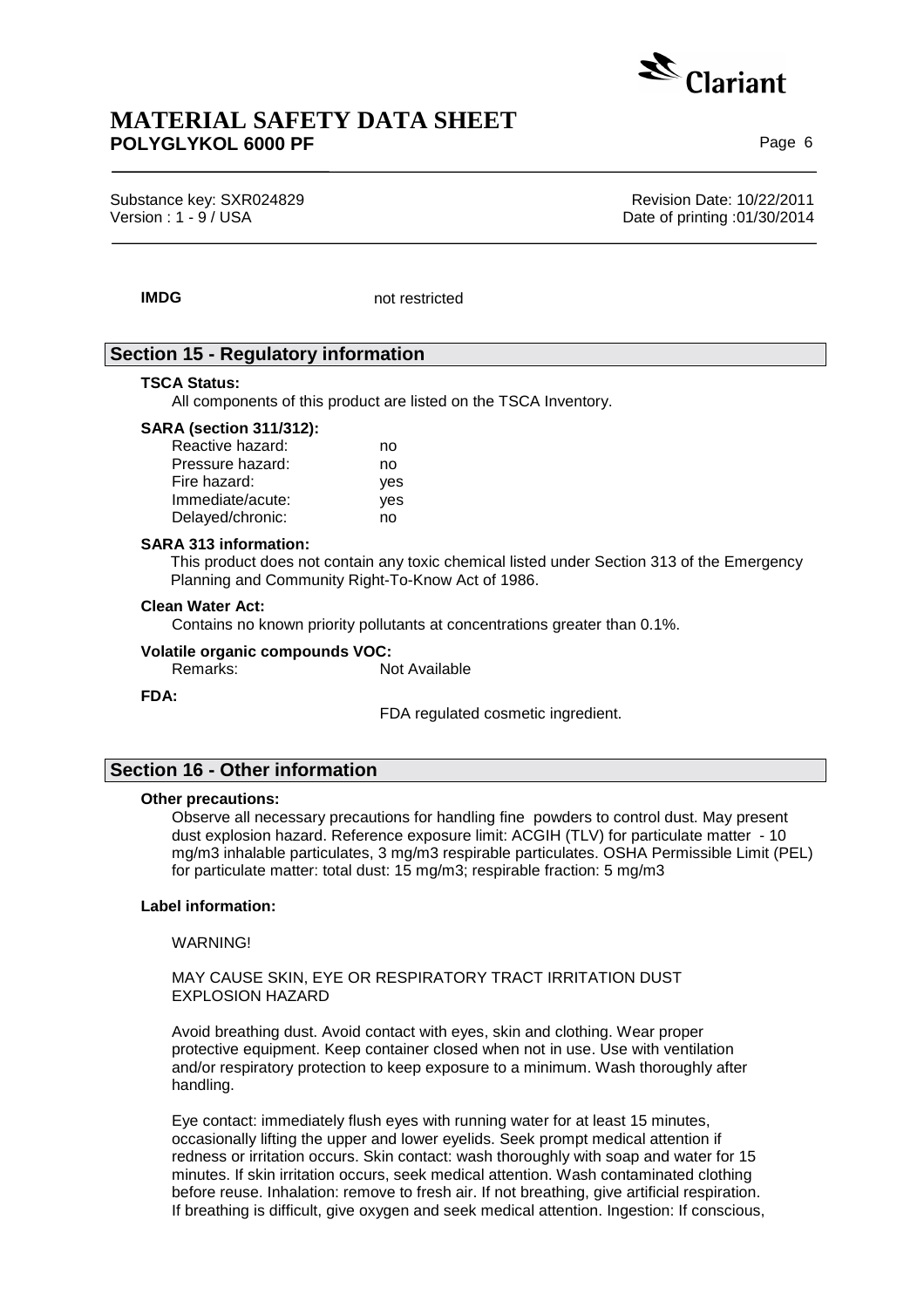

Substance key: SXR024829 **Revision Date: 10/22/2011** Version : 1 - 9 / USA Date of printing :01/30/2014

**IMDG** not restricted

## **Section 15 - Regulatory information**

### **TSCA Status:**

All components of this product are listed on the TSCA Inventory.

## **SARA (section 311/312):**

| Reactive hazard: | no  |
|------------------|-----|
| Pressure hazard: | no  |
| Fire hazard:     | yes |
| Immediate/acute: | yes |
| Delayed/chronic: | no  |

#### **SARA 313 information:**

This product does not contain any toxic chemical listed under Section 313 of the Emergency Planning and Community Right-To-Know Act of 1986.

#### **Clean Water Act:**

Contains no known priority pollutants at concentrations greater than 0.1%.

### **Volatile organic compounds VOC:**

Remarks: Not Available

#### **FDA:**

FDA regulated cosmetic ingredient.

## **Section 16 - Other information**

#### **Other precautions:**

Observe all necessary precautions for handling fine powders to control dust. May present dust explosion hazard. Reference exposure limit: ACGIH (TLV) for particulate matter - 10 mg/m3 inhalable particulates, 3 mg/m3 respirable particulates. OSHA Permissible Limit (PEL) for particulate matter: total dust: 15 mg/m3; respirable fraction: 5 mg/m3

### **Label information:**

WARNING!

## MAY CAUSE SKIN, EYE OR RESPIRATORY TRACT IRRITATION DUST EXPLOSION HAZARD

Avoid breathing dust. Avoid contact with eyes, skin and clothing. Wear proper protective equipment. Keep container closed when not in use. Use with ventilation and/or respiratory protection to keep exposure to a minimum. Wash thoroughly after handling.

Eye contact: immediately flush eyes with running water for at least 15 minutes, occasionally lifting the upper and lower eyelids. Seek prompt medical attention if redness or irritation occurs. Skin contact: wash thoroughly with soap and water for 15 minutes. If skin irritation occurs, seek medical attention. Wash contaminated clothing before reuse. Inhalation: remove to fresh air. If not breathing, give artificial respiration. If breathing is difficult, give oxygen and seek medical attention. Ingestion: If conscious,